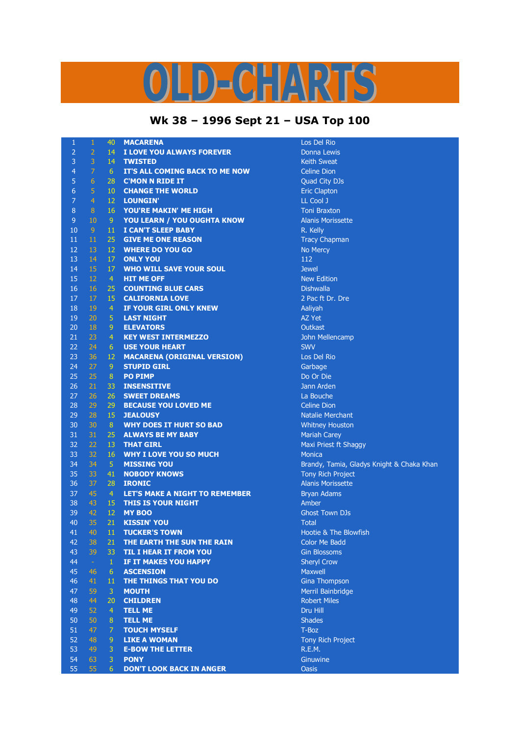## LD-CHARTS

## **Wk 38 – 1996 Sept 21 – USA Top 100**

| 1              | $\mathbf{1}$   | 40                  | <b>MACARENA</b>                       | Los Del Rio                               |
|----------------|----------------|---------------------|---------------------------------------|-------------------------------------------|
| $\overline{2}$ | $\overline{2}$ | 14                  | I LOVE YOU ALWAYS FOREVER             | Donna Lewis                               |
| 3              | 3              | 14                  | <b>TWISTED</b>                        | <b>Keith Sweat</b>                        |
| 4              | $\overline{7}$ | 6                   | IT'S ALL COMING BACK TO ME NOW        | <b>Celine Dion</b>                        |
| 5              | $6\phantom{1}$ | 28                  | <b>C'MON N RIDE IT</b>                | Quad City DJs                             |
| 6              | 5              | 10                  | <b>CHANGE THE WORLD</b>               | <b>Eric Clapton</b>                       |
| 7              | $\overline{4}$ | 12                  | LOUNGIN'                              | LL Cool J                                 |
| 8              | 8              | 16                  | YOU'RE MAKIN' ME HIGH                 | <b>Toni Braxton</b>                       |
| $9\,$          | 10             | $\overline{9}$      | YOU LEARN / YOU OUGHTA KNOW           | <b>Alanis Morissette</b>                  |
| 10             | $\overline{9}$ | 11                  | <b>I CAN'T SLEEP BABY</b>             | R. Kelly                                  |
| 11             | 11             | 25                  | <b>GIVE ME ONE REASON</b>             | <b>Tracy Chapman</b>                      |
| 12             | 13             | 12                  | <b>WHERE DO YOU GO</b>                | No Mercy                                  |
| 13             | 14             | 17                  | <b>ONLY YOU</b>                       | 112                                       |
| 14             | 15             | 17                  | <b>WHO WILL SAVE YOUR SOUL</b>        | <b>Jewel</b>                              |
| 15             | 12             | $\overline{4}$      | <b>HIT ME OFF</b>                     | <b>New Edition</b>                        |
| 16             | 16             | 25                  | <b>COUNTING BLUE CARS</b>             | <b>Dishwalla</b>                          |
| 17             | 17             | 15                  | <b>CALIFORNIA LOVE</b>                | 2 Pac ft Dr. Dre                          |
| 18             | 19             | $\overline{4}$      | IF YOUR GIRL ONLY KNEW                | Aaliyah                                   |
| 19             | 20             | 5                   | <b>LAST NIGHT</b>                     | AZ Yet                                    |
| 20             | 18             | $\mathsf 9$         | <b>ELEVATORS</b>                      | Outkast                                   |
| 21             | 23             | $\overline{4}$      | <b>KEY WEST INTERMEZZO</b>            | John Mellencamp                           |
| 22             | 24             | 6                   | <b>USE YOUR HEART</b>                 | <b>SWV</b>                                |
| 23             | 36             | 12                  | <b>MACARENA (ORIGINAL VERSION)</b>    | Los Del Rio                               |
| 24             | 27             | $\overline{9}$      | <b>STUPID GIRL</b>                    | Garbage                                   |
| 25             | 25             | 8                   | <b>PO PIMP</b>                        | Do Or Die                                 |
| 26             | 21             | 33                  | <b>INSENSITIVE</b>                    | Jann Arden                                |
| 27             | 26             | 26                  | <b>SWEET DREAMS</b>                   | La Bouche                                 |
| 28             | 29             | 29                  | <b>BECAUSE YOU LOVED ME</b>           | <b>Celine Dion</b>                        |
| 29             | 28             | 15                  | <b>JEALOUSY</b>                       | <b>Natalie Merchant</b>                   |
| 30             | 30             | 8                   | <b>WHY DOES IT HURT SO BAD</b>        | <b>Whitney Houston</b>                    |
| 31             | 31             | 25                  | <b>ALWAYS BE MY BABY</b>              | <b>Mariah Carey</b>                       |
| 32             | 22             | 13                  | <b>THAT GIRL</b>                      | Maxi Priest ft Shaggy                     |
| 33             | 32             | 16                  | <b>WHY I LOVE YOU SO MUCH</b>         | <b>Monica</b>                             |
| 34             | 34             | $\sqrt{5}$          | <b>MISSING YOU</b>                    | Brandy, Tamia, Gladys Knight & Chaka Khan |
| 35             | 33             | 41                  | <b>NOBODY KNOWS</b>                   | <b>Tony Rich Project</b>                  |
| 36             | 37             | 28                  | <b>IRONIC</b>                         | <b>Alanis Morissette</b>                  |
| 37             | 45             | $\overline{4}$      | <b>LET'S MAKE A NIGHT TO REMEMBER</b> | <b>Bryan Adams</b>                        |
| 38             | 43             | 15                  | <b>THIS IS YOUR NIGHT</b>             | Amber                                     |
| 39             | 42             | 12                  | <b>MY BOO</b>                         | <b>Ghost Town DJs</b>                     |
| 40             | 35             | 21                  | <b>KISSIN' YOU</b>                    | <b>Total</b>                              |
| 41             | 40             | 11                  | <b>TUCKER'S TOWN</b>                  | Hootie & The Blowfish                     |
| 42             | 38             | 21                  | THE EARTH THE SUN THE RAIN            | <b>Color Me Badd</b>                      |
| 43             | 39             | 33                  | <b>TIL I HEAR IT FROM YOU</b>         | <b>Gin Blossoms</b>                       |
| 44             | $\sim$         | $\mathbf{1}$        | IF IT MAKES YOU HAPPY                 | <b>Sheryl Crow</b>                        |
| 45             | 46             | 6                   | <b>ASCENSION</b>                      | Maxwell                                   |
| 46             | 41             | 11                  | THE THINGS THAT YOU DO                |                                           |
|                |                |                     |                                       | <b>Gina Thompson</b>                      |
| 47<br>48       | 59<br>44       | 3                   | <b>MOUTH</b><br><b>CHILDREN</b>       | Merril Bainbridge<br><b>Robert Miles</b>  |
|                |                | 20                  |                                       |                                           |
| 49             | 52             | $\overline{4}$      | <b>TELL ME</b>                        | Dru Hill<br><b>Shades</b>                 |
| 50             | 50             | 8<br>$\overline{7}$ | <b>TELL ME</b>                        |                                           |
| 51             | 47             |                     | <b>TOUCH MYSELF</b>                   | T-Boz                                     |
| 52             | 48             | $\overline{9}$      | <b>LIKE A WOMAN</b>                   | Tony Rich Project                         |
| 53             | 49             | 3                   | <b>E-BOW THE LETTER</b>               | R.E.M.                                    |
| 54             | 63             | 3                   | <b>PONY</b>                           | Ginuwine                                  |
| 55             | 55             | 6                   | <b>DON'T LOOK BACK IN ANGER</b>       | <b>Oasis</b>                              |